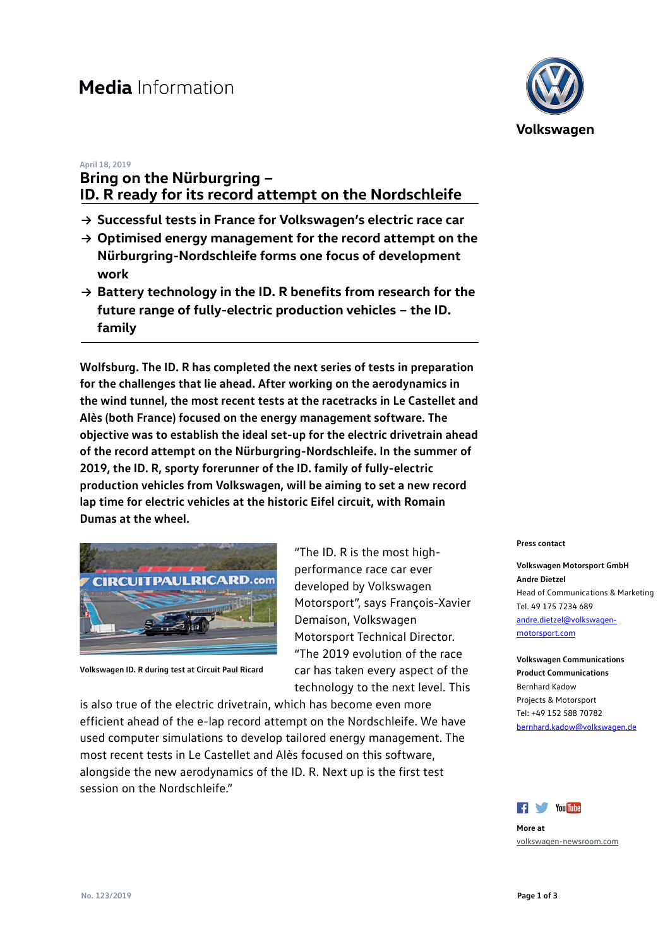## **April 18, 2019**

**Bring on the Nürburgring – ID. R ready for its record attempt on the Nordschleife**

- **→ Successful tests in France for Volkswagen's electric race car**
- **→ Optimised energy management for the record attempt on the Nürburgring-Nordschleife forms one focus of development work**
- **→ Battery technology in the ID. R benefits from research for the future range of fully-electric production vehicles – the ID. family**

**Wolfsburg. The ID. R has completed the next series of tests in preparation for the challenges that lie ahead. After working on the aerodynamics in the wind tunnel, the most recent tests at the racetracks in Le Castellet and Alès (both France) focused on the energy management software. The objective was to establish the ideal set-up for the electric drivetrain ahead of the record attempt on the Nürburgring-Nordschleife. In the summer of 2019, the ID. R, sporty forerunner of the ID. family of fully-electric production vehicles from Volkswagen, will be aiming to set a new record lap time for electric vehicles at the historic Eifel circuit, with Romain Dumas at the wheel.** 



**Volkswagen ID. R during test at Circuit Paul Ricard**

"The ID. R is the most highperformance race car ever developed by Volkswagen Motorsport", says François-Xavier Demaison, Volkswagen Motorsport Technical Director. "The 2019 evolution of the race car has taken every aspect of the technology to the next level. This

is also true of the electric drivetrain, which has become even more efficient ahead of the e-lap record attempt on the Nordschleife. We have used computer simulations to develop tailored energy management. The most recent tests in Le Castellet and Alès focused on this software, alongside the new aerodynamics of the ID. R. Next up is the first test session on the Nordschleife."



## **Press contact**

**Volkswagen Motorsport GmbH Andre Dietzel** Head of Communications & Marketing Tel. 49 175 7234 689 [andre.dietzel@volkswagen](mailto:andre.dietzel@volkswagen-motorsport.com)[motorsport.com](mailto:andre.dietzel@volkswagen-motorsport.com)

**Volkswagen Communications Product Communications** Bernhard Kadow Projects & Motorsport Tel: +49 152 588 70782 [bernhard.kadow@volkswagen.de](mailto:bernhard.kadow@volkswagen.de)



**More at** [volkswagen-newsroom.com](https://www.volkswagen-newsroom.com/)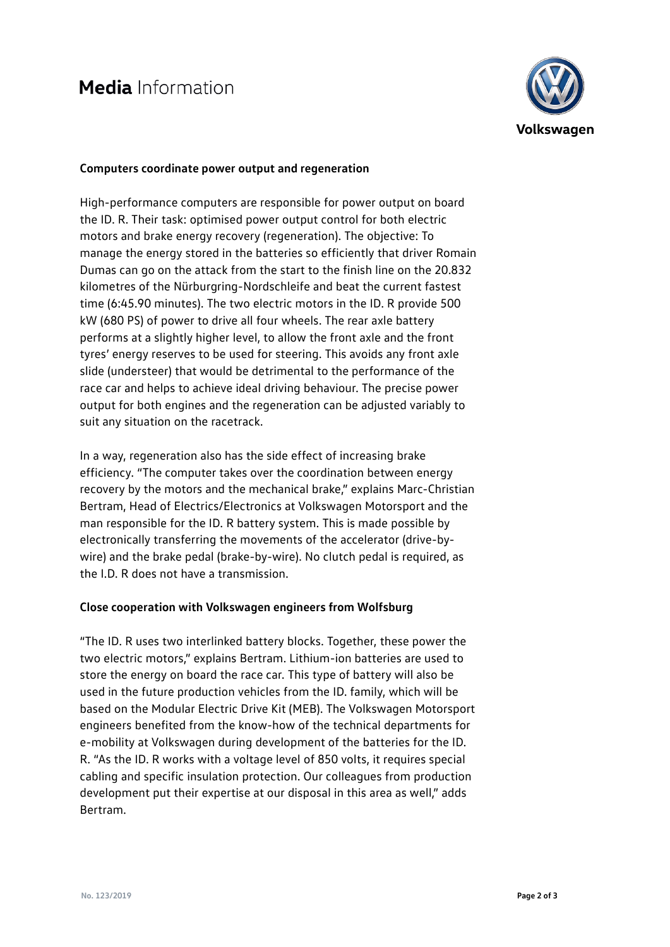

## **Computers coordinate power output and regeneration**

High-performance computers are responsible for power output on board the ID. R. Their task: optimised power output control for both electric motors and brake energy recovery (regeneration). The objective: To manage the energy stored in the batteries so efficiently that driver Romain Dumas can go on the attack from the start to the finish line on the 20.832 kilometres of the Nürburgring-Nordschleife and beat the current fastest time (6:45.90 minutes). The two electric motors in the ID. R provide 500 kW (680 PS) of power to drive all four wheels. The rear axle battery performs at a slightly higher level, to allow the front axle and the front tyres' energy reserves to be used for steering. This avoids any front axle slide (understeer) that would be detrimental to the performance of the race car and helps to achieve ideal driving behaviour. The precise power output for both engines and the regeneration can be adjusted variably to suit any situation on the racetrack.

In a way, regeneration also has the side effect of increasing brake efficiency. "The computer takes over the coordination between energy recovery by the motors and the mechanical brake," explains Marc-Christian Bertram, Head of Electrics/Electronics at Volkswagen Motorsport and the man responsible for the ID. R battery system. This is made possible by electronically transferring the movements of the accelerator (drive-bywire) and the brake pedal (brake-by-wire). No clutch pedal is required, as the I.D. R does not have a transmission.

## **Close cooperation with Volkswagen engineers from Wolfsburg**

"The ID. R uses two interlinked battery blocks. Together, these power the two electric motors," explains Bertram. Lithium-ion batteries are used to store the energy on board the race car. This type of battery will also be used in the future production vehicles from the ID. family, which will be based on the Modular Electric Drive Kit (MEB). The Volkswagen Motorsport engineers benefited from the know-how of the technical departments for e-mobility at Volkswagen during development of the batteries for the ID. R. "As the ID. R works with a voltage level of 850 volts, it requires special cabling and specific insulation protection. Our colleagues from production development put their expertise at our disposal in this area as well," adds Bertram.